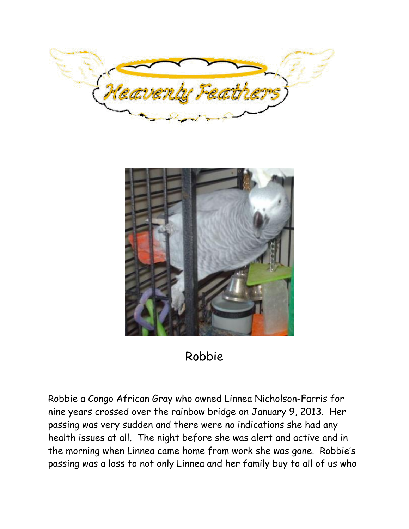



# Robbie

Robbie a Congo African Gray who owned Linnea Nicholson-Farris for nine years crossed over the rainbow bridge on January 9, 2013. Her passing was very sudden and there were no indications she had any health issues at all. The night before she was alert and active and in the morning when Linnea came home from work she was gone. Robbie's passing was a loss to not only Linnea and her family buy to all of us who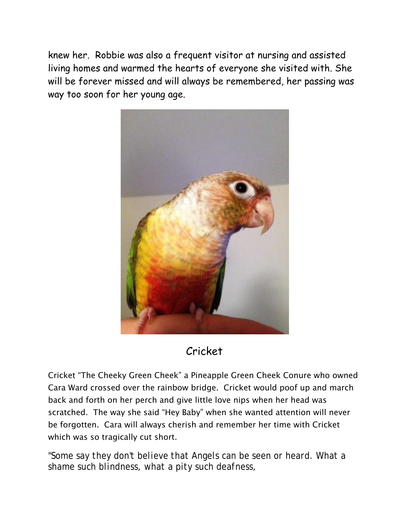knew her. Robbie was also a frequent visitor at nursing and assisted living homes and warmed the hearts of everyone she visited with. She will be forever missed and will always be remembered, her passing was way too soon for her young age.



## Cricket

Cricket "The Cheeky Green Cheek" a Pineapple Green Cheek Conure who owned Cara Ward crossed over the rainbow bridge. Cricket would poof up and march back and forth on her perch and give little love nips when her head was scratched. The way she said "Hey Baby" when she wanted attention will never be forgotten. Cara will always cherish and remember her time with Cricket which was so tragically cut short.

*"Some say they don't believe that Angels can be seen or heard. What a shame such blindness, what a pity such deafness,*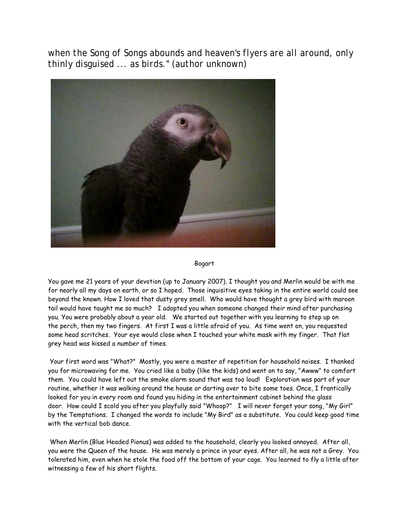*when the Song of Songs abounds and heaven's flyers are all around, only thinly disguised ... as birds." (author unknown)*



Bogart

You gave me 21 years of your devotion (up to January 2007). I thought you and Merlin would be with me for nearly all my days on earth, or so I hoped. Those inquisitive eyes taking in the entire world could see beyond the known. How I loved that dusty grey smell. Who would have thought a grey bird with maroon tail would have taught me so much? I adopted you when someone changed their mind after purchasing you. You were probably about a year old. We started out together with you learning to step up on the perch, then my two fingers. At first I was a little afraid of you. As time went on, you requested some head scritches. Your eye would close when I touched your white mask with my finger. That flat grey head was kissed a number of times.

Your first word was "What?" Mostly, you were a master of repetition for household noises. I thanked you for microwaving for me. You cried like a baby (like the kids) and went on to say, "Awww" to comfort them. You could have left out the smoke alarm sound that was too loud! Exploration was part of your routine, whether it was walking around the house or darting over to bite some toes. Once, I frantically looked for you in every room and found you hiding in the entertainment cabinet behind the glass door. How could I scold you after you playfully said "Whoop?" I will never forget your song, "My Girl" by the Temptations. I changed the words to include "My Bird" as a substitute. You could keep good time with the vertical bob dance.

When Merlin (Blue Headed Pionus) was added to the household, clearly you looked annoyed. After all, you were the Queen of the house. He was merely a prince in your eyes. After all, he was not a Grey. You tolerated him, even when he stole the food off the bottom of your cage. You learned to fly a little after witnessing a few of his short flights.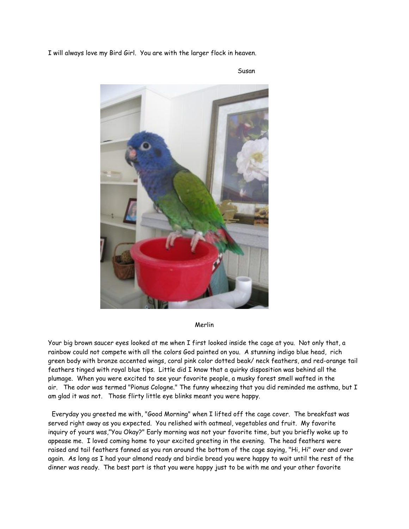I will always love my Bird Girl. You are with the larger flock in heaven.



Susan

Merlin

Your big brown saucer eyes looked at me when I first looked inside the cage at you. Not only that, a rainbow could not compete with all the colors God painted on you. A stunning indigo blue head, rich green body with bronze accented wings, coral pink color dotted beak/ neck feathers, and red-orange tail feathers tinged with royal blue tips. Little did I know that a quirky disposition was behind all the plumage. When you were excited to see your favorite people, a musky forest smell wafted in the air. The odor was termed "Pionus Cologne." The funny wheezing that you did reminded me asthma, but I am glad it was not. Those flirty little eye blinks meant you were happy.

 Everyday you greeted me with, "Good Morning" when I lifted off the cage cover. The breakfast was served right away as you expected. You relished with oatmeal, vegetables and fruit. My favorite inquiry of yours was,"You Okay?" Early morning was not your favorite time, but you briefly woke up to appease me. I loved coming home to your excited greeting in the evening. The head feathers were raised and tail feathers fanned as you ran around the bottom of the cage saying, "Hi, Hi" over and over again. As long as I had your almond ready and birdie bread you were happy to wait until the rest of the dinner was ready. The best part is that you were happy just to be with me and your other favorite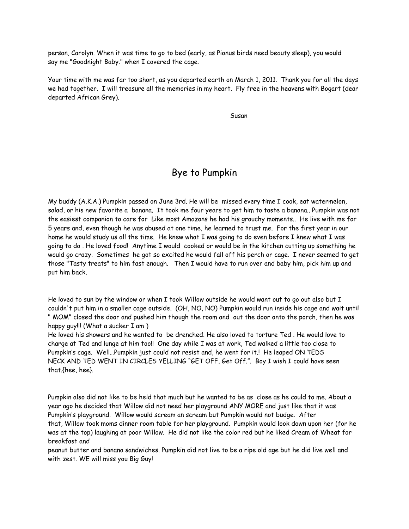person, Carolyn. When it was time to go to bed (early, as Pionus birds need beauty sleep), you would say me "Goodnight Baby." when I covered the cage.

Your time with me was far too short, as you departed earth on March 1, 2011. Thank you for all the days we had together. I will treasure all the memories in my heart. Fly free in the heavens with Bogart (dear departed African Grey).

Susan Susan Susan Susan Susan Susan Susan Susan Susan Susan Susan Susan Susan Susan Susan Susan Susan Susan Su

### Bye to Pumpkin

My buddy (A.K.A.) Pumpkin passed on June 3rd. He will be missed every time I cook, eat watermelon, salad, or his new favorite a banana. It took me four years to get him to taste a banana.. Pumpkin was not the easiest companion to care for Like most Amazons he had his grouchy moments.. He live with me for 5 years and, even though he was abused at one time, he learned to trust me. For the first year in our home he would study us all the time. He knew what I was going to do even before I knew what I was going to do . He loved food! Anytime I would cooked or would be in the kitchen cutting up something he would go crazy. Sometimes he got so excited he would fall off his perch or cage. I never seemed to get those "Tasty treats" to him fast enough. Then I would have to run over and baby him, pick him up and put him back.

He loved to sun by the window or when I took Willow outside he would want out to go out also but I couldn't put him in a smaller cage outside. (OH, NO, NO) Pumpkin would run inside his cage and wait until " MOM" closed the door and pushed him though the room and out the door onto the porch, then he was happy guy!!! (What a sucker I am )

He loved his showers and he wanted to be drenched. He also loved to torture Ted . He would love to charge at Ted and lunge at him too!! One day while I was at work, Ted walked a little too close to Pumpkin's cage. Well…Pumpkin just could not resist and, he went for it.! He leaped ON TEDS NECK AND TED WENT IN CIRCLES YELLING "GET OFF, Get Off.". Boy I wish I could have seen that.{hee, hee}.

Pumpkin also did not like to be held that much but he wanted to be as close as he could to me. About a year ago he decided that Willow did not need her playground ANY MORE and just like that it was Pumpkin's playground. Willow would scream an scream but Pumpkin would not budge. After that, Willow took moms dinner room table for her playground. Pumpkin would look down upon her (for he was at the top) laughing at poor Willow. He did not like the color red but he liked Cream of Wheat for breakfast and

peanut butter and banana sandwiches. Pumpkin did not live to be a ripe old age but he did live well and with zest. WE will miss you Big Guy!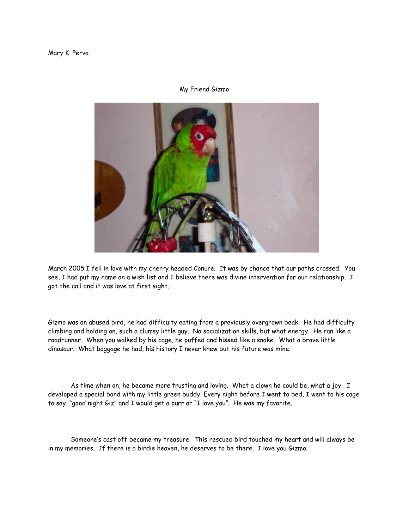#### My Friend Gizmo



March 2005 I fell in love with my cherry headed Conure. It was by chance that our paths crossed. You see, I had put my name on a wish list and I believe there was divine intervention for our relationship. I got the call and it was love at first sight.

Gizmo was an abused bird, he had difficulty eating from a previously overgrown beak. He had difficulty climbing and holding on, such a clumsy little guy. No socialization skills, but what energy. He ran like a roadrunner. When you walked by his cage, he puffed and hissed like a snake. What a brave little dinosaur. What baggage he had, his history I never knew but his future was mine.

As time when on, he became more trusting and loving. What a clown he could be, what a joy. I developed a special bond with my little green buddy. Every night before I went to bed, I went to his cage to say, "good night Giz" and I would get a purr or "I love you". He was my favorite.

 Someone's cast off became my treasure. This rescued bird touched my heart and will always be in my memories. If there is a birdie heaven, he deserves to be there. I love you Gizmo.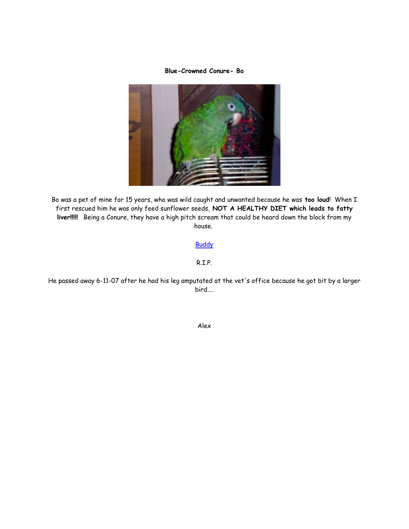#### **Blue-Crowned Conure- Bo**



Bo was a pet of mine for 15 years, who was wild caught and unwanted because he was **too loud**! When I first rescued him he was only feed sunflower seeds, **NOT A HEALTHY DIET which leads to fatty liver!!!!!** Being a Conure, they have a high pitch scream that could be heard down the block from my house.

[Buddy](https://rfbirdclub.com/Documents%20and%20Settings/Stephan%20Plafchan/My%20Documents/My%20Web%20Sites/mysite/Buddy.htm)

R.I.P.

He passed away 6-11-07 after he had his leg amputated at the vet's office because he got bit by a larger bird....

Alex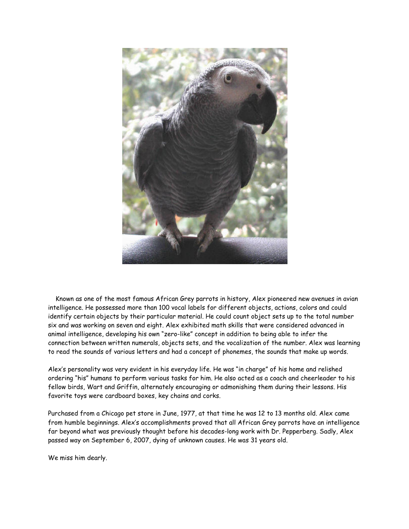

 Known as one of the most famous African Grey parrots in history, Alex pioneered new avenues in avian intelligence. He possessed more than 100 vocal labels for different objects, actions, colors and could identify certain objects by their particular material. He could count object sets up to the total number six and was working on seven and eight. Alex exhibited math skills that were considered advanced in animal intelligence, developing his own "zero-like" concept in addition to being able to infer the connection between written numerals, objects sets, and the vocalization of the number. Alex was learning to read the sounds of various letters and had a concept of phonemes, the sounds that make up words.

Alex's personality was very evident in his everyday life. He was "in charge" of his home and relished ordering "his" humans to perform various tasks for him. He also acted as a coach and cheerleader to his fellow birds, Wart and Griffin, alternately encouraging or admonishing them during their lessons. His favorite toys were cardboard boxes, key chains and corks.

Purchased from a Chicago pet store in June, 1977, at that time he was 12 to 13 months old. Alex came from humble beginnings. Alex's accomplishments proved that all African Grey parrots have an intelligence far beyond what was previously thought before his decades-long work with Dr. Pepperberg. Sadly, Alex passed way on September 6, 2007, dying of unknown causes. He was 31 years old.

We miss him dearly.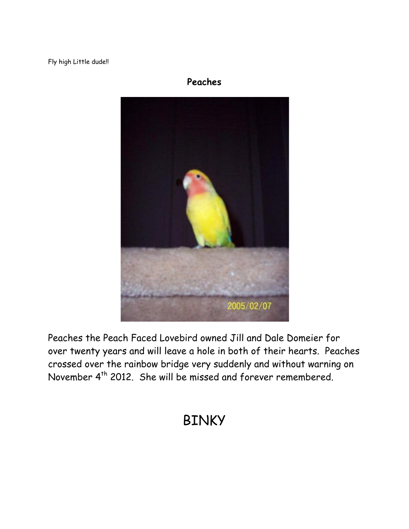Fly high Little dude!!

## **Peaches**



Peaches the Peach Faced Lovebird owned Jill and Dale Domeier for over twenty years and will leave a hole in both of their hearts. Peaches crossed over the rainbow bridge very suddenly and without warning on November 4th 2012. She will be missed and forever remembered.

# BINKY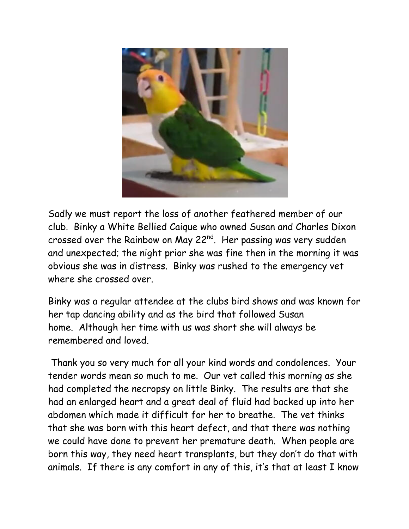

Sadly we must report the loss of another feathered member of our club. Binky a White Bellied Caique who owned Susan and Charles Dixon crossed over the Rainbow on May 22<sup>nd</sup>. Her passing was very sudden and unexpected; the night prior she was fine then in the morning it was obvious she was in distress. Binky was rushed to the emergency vet where she crossed over

Binky was a regular attendee at the clubs bird shows and was known for her tap dancing ability and as the bird that followed Susan home. Although her time with us was short she will always be remembered and loved.

Thank you so very much for all your kind words and condolences. Your tender words mean so much to me. Our vet called this morning as she had completed the necropsy on little Binky. The results are that she had an enlarged heart and a great deal of fluid had backed up into her abdomen which made it difficult for her to breathe. The vet thinks that she was born with this heart defect, and that there was nothing we could have done to prevent her premature death. When people are born this way, they need heart transplants, but they don't do that with animals. If there is any comfort in any of this, it's that at least I know